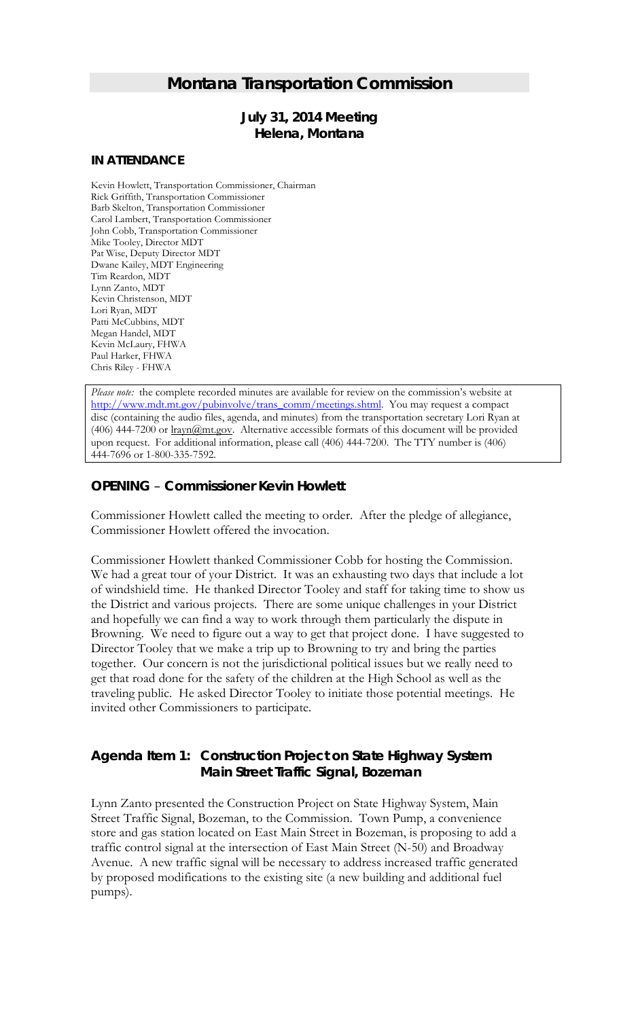# *Montana Transportation Commission*

# *July 31, 2014 Meeting* **Helena, Montana**

### **IN ATTENDANCE**

Kevin Howlett, Transportation Commissioner, Chairman Rick Griffith, Transportation Commissioner Barb Skelton, Transportation Commissioner Carol Lambert, Transportation Commissioner John Cobb, Transportation Commissioner Mike Tooley, Director MDT Pat Wise, Deputy Director MDT Dwane Kailey, MDT Engineering Tim Reardon, MDT Lynn Zanto, MDT Kevin Christenson, MDT Lori Ryan, MDT Patti McCubbins, MDT Megan Handel, MDT Kevin McLaury, FHWA Paul Harker, FHWA Chris Riley - FHWA

*Please note:* the complete recorded minutes are available for review on the commission's website at [http://www.mdt.mt.gov/pubinvolve/trans\\_comm/meetings.shtml.](http://www.mdt.mt.gov/pubinvolve/trans_comm/meetings.shtml) You may request a compact disc (containing the audio files, agenda, and minutes) from the transportation secretary Lori Ryan at (406) 444-7200 or lrayn@mt.gov. Alternative accessible formats of this document will be provided upon request. For additional information, please call (406) 444-7200. The TTY number is (406) 444-7696 or 1-800-335-7592.

# *OPENING – Commissioner Kevin Howlett*

Commissioner Howlett called the meeting to order. After the pledge of allegiance, Commissioner Howlett offered the invocation.

Commissioner Howlett thanked Commissioner Cobb for hosting the Commission. We had a great tour of your District. It was an exhausting two days that include a lot of windshield time. He thanked Director Tooley and staff for taking time to show us the District and various projects. There are some unique challenges in your District and hopefully we can find a way to work through them particularly the dispute in Browning. We need to figure out a way to get that project done. I have suggested to Director Tooley that we make a trip up to Browning to try and bring the parties together. Our concern is not the jurisdictional political issues but we really need to get that road done for the safety of the children at the High School as well as the traveling public. He asked Director Tooley to initiate those potential meetings. He invited other Commissioners to participate.

# *Agenda Item 1: Construction Project on State Highway System Main Street Traffic Signal, Bozeman*

Lynn Zanto presented the Construction Project on State Highway System, Main Street Traffic Signal, Bozeman, to the Commission. Town Pump, a convenience store and gas station located on East Main Street in Bozeman, is proposing to add a traffic control signal at the intersection of East Main Street (N-50) and Broadway Avenue. A new traffic signal will be necessary to address increased traffic generated by proposed modifications to the existing site (a new building and additional fuel pumps).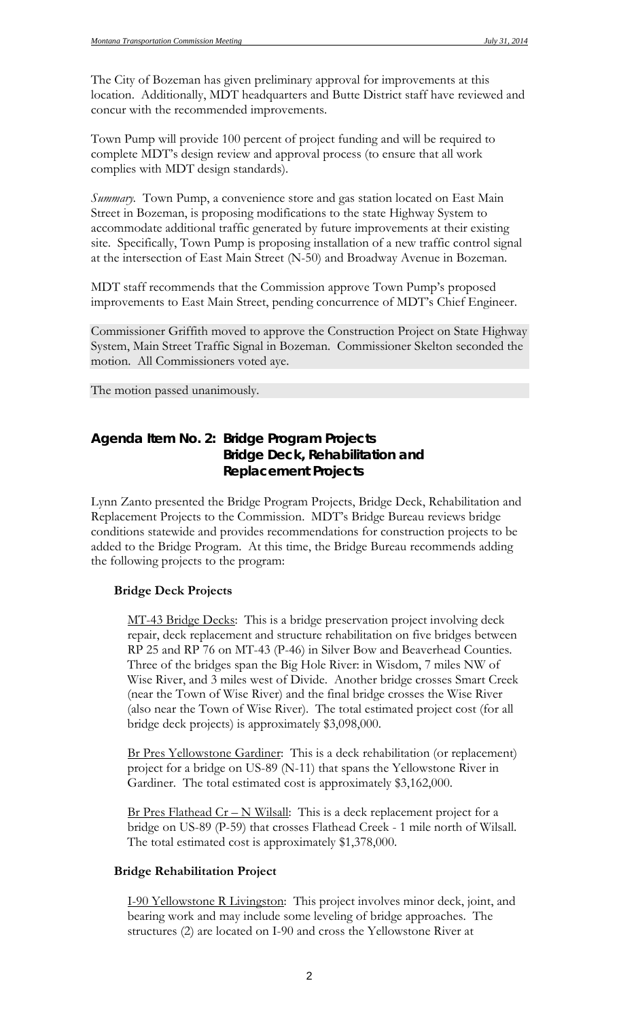The City of Bozeman has given preliminary approval for improvements at this location. Additionally, MDT headquarters and Butte District staff have reviewed and concur with the recommended improvements.

Town Pump will provide 100 percent of project funding and will be required to complete MDT's design review and approval process (to ensure that all work complies with MDT design standards).

*Summary.* Town Pump, a convenience store and gas station located on East Main Street in Bozeman, is proposing modifications to the state Highway System to accommodate additional traffic generated by future improvements at their existing site. Specifically, Town Pump is proposing installation of a new traffic control signal at the intersection of East Main Street (N-50) and Broadway Avenue in Bozeman.

MDT staff recommends that the Commission approve Town Pump's proposed improvements to East Main Street, pending concurrence of MDT's Chief Engineer.

Commissioner Griffith moved to approve the Construction Project on State Highway System, Main Street Traffic Signal in Bozeman. Commissioner Skelton seconded the motion. All Commissioners voted aye.

The motion passed unanimously.

# *Agenda Item No. 2: Bridge Program Projects Bridge Deck, Rehabilitation and Replacement Projects*

Lynn Zanto presented the Bridge Program Projects, Bridge Deck, Rehabilitation and Replacement Projects to the Commission. MDT's Bridge Bureau reviews bridge conditions statewide and provides recommendations for construction projects to be added to the Bridge Program. At this time, the Bridge Bureau recommends adding the following projects to the program:

### **Bridge Deck Projects**

MT-43 Bridge Decks: This is a bridge preservation project involving deck repair, deck replacement and structure rehabilitation on five bridges between RP 25 and RP 76 on MT-43 (P-46) in Silver Bow and Beaverhead Counties. Three of the bridges span the Big Hole River: in Wisdom, 7 miles NW of Wise River, and 3 miles west of Divide. Another bridge crosses Smart Creek (near the Town of Wise River) and the final bridge crosses the Wise River (also near the Town of Wise River). The total estimated project cost (for all bridge deck projects) is approximately \$3,098,000.

Br Pres Yellowstone Gardiner: This is a deck rehabilitation (or replacement) project for a bridge on US-89 (N-11) that spans the Yellowstone River in Gardiner. The total estimated cost is approximately \$3,162,000.

Br Pres Flathead  $Cr - N$  Wilsall: This is a deck replacement project for a bridge on US-89 (P-59) that crosses Flathead Creek - 1 mile north of Wilsall. The total estimated cost is approximately \$1,378,000.

### **Bridge Rehabilitation Project**

I-90 Yellowstone R Livingston: This project involves minor deck, joint, and bearing work and may include some leveling of bridge approaches. The structures (2) are located on I-90 and cross the Yellowstone River at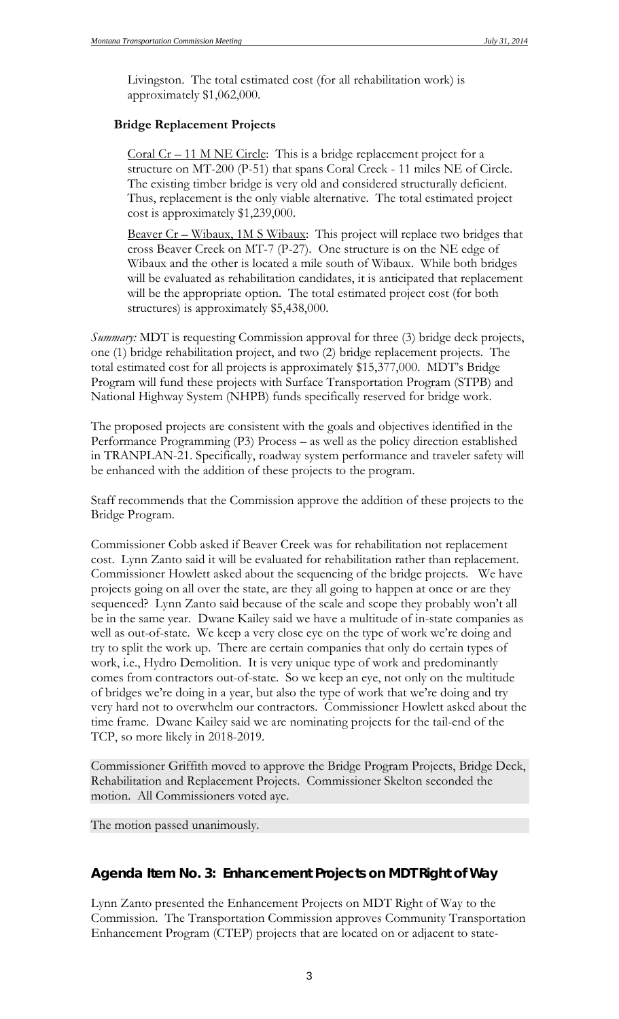Livingston. The total estimated cost (for all rehabilitation work) is approximately \$1,062,000.

# **Bridge Replacement Projects**

Coral  $Cr - 11$  M NE Circle: This is a bridge replacement project for a structure on MT-200 (P-51) that spans Coral Creek - 11 miles NE of Circle. The existing timber bridge is very old and considered structurally deficient. Thus, replacement is the only viable alternative. The total estimated project cost is approximately \$1,239,000.

Beaver Cr – Wibaux, 1M S Wibaux: This project will replace two bridges that cross Beaver Creek on MT-7 (P-27). One structure is on the NE edge of Wibaux and the other is located a mile south of Wibaux. While both bridges will be evaluated as rehabilitation candidates, it is anticipated that replacement will be the appropriate option. The total estimated project cost (for both structures) is approximately \$5,438,000.

*Summary:* MDT is requesting Commission approval for three (3) bridge deck projects, one (1) bridge rehabilitation project, and two (2) bridge replacement projects. The total estimated cost for all projects is approximately \$15,377,000. MDT's Bridge Program will fund these projects with Surface Transportation Program (STPB) and National Highway System (NHPB) funds specifically reserved for bridge work.

The proposed projects are consistent with the goals and objectives identified in the Performance Programming (P3) Process – as well as the policy direction established in TRANPLAN-21. Specifically, roadway system performance and traveler safety will be enhanced with the addition of these projects to the program.

Staff recommends that the Commission approve the addition of these projects to the Bridge Program.

Commissioner Cobb asked if Beaver Creek was for rehabilitation not replacement cost. Lynn Zanto said it will be evaluated for rehabilitation rather than replacement. Commissioner Howlett asked about the sequencing of the bridge projects. We have projects going on all over the state, are they all going to happen at once or are they sequenced? Lynn Zanto said because of the scale and scope they probably won't all be in the same year. Dwane Kailey said we have a multitude of in-state companies as well as out-of-state. We keep a very close eye on the type of work we're doing and try to split the work up. There are certain companies that only do certain types of work, i.e., Hydro Demolition. It is very unique type of work and predominantly comes from contractors out-of-state. So we keep an eye, not only on the multitude of bridges we're doing in a year, but also the type of work that we're doing and try very hard not to overwhelm our contractors. Commissioner Howlett asked about the time frame. Dwane Kailey said we are nominating projects for the tail-end of the TCP, so more likely in 2018-2019.

Commissioner Griffith moved to approve the Bridge Program Projects, Bridge Deck, Rehabilitation and Replacement Projects. Commissioner Skelton seconded the motion. All Commissioners voted aye.

The motion passed unanimously.

# *Agenda Item No. 3: Enhancement Projects on MDT Right of Way*

Lynn Zanto presented the Enhancement Projects on MDT Right of Way to the Commission. The Transportation Commission approves Community Transportation Enhancement Program (CTEP) projects that are located on or adjacent to state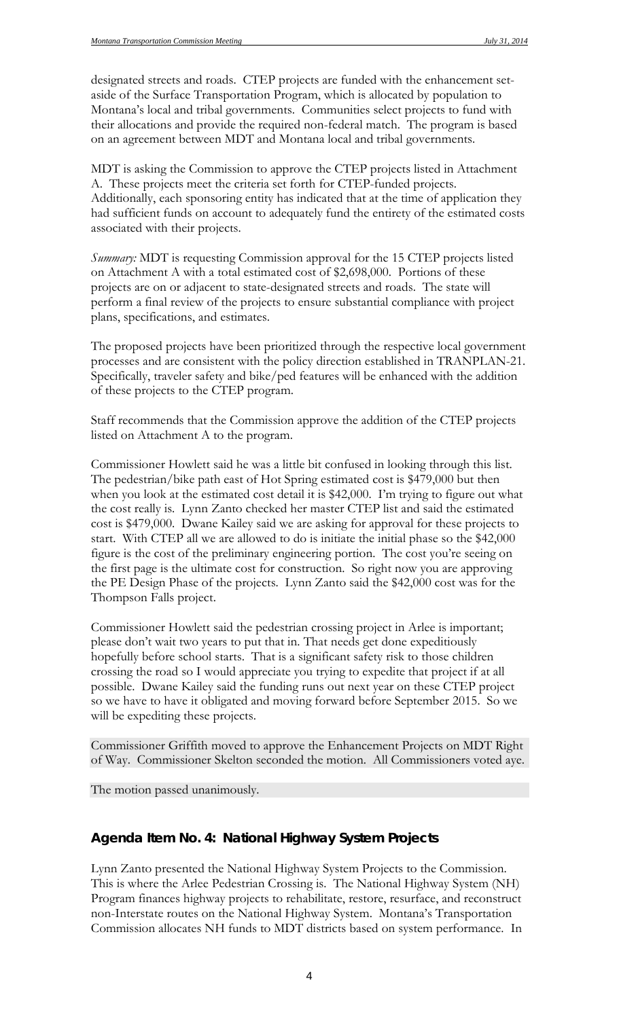designated streets and roads. CTEP projects are funded with the enhancement setaside of the Surface Transportation Program, which is allocated by population to Montana's local and tribal governments. Communities select projects to fund with their allocations and provide the required non-federal match. The program is based on an agreement between MDT and Montana local and tribal governments.

MDT is asking the Commission to approve the CTEP projects listed in Attachment A. These projects meet the criteria set forth for CTEP-funded projects. Additionally, each sponsoring entity has indicated that at the time of application they had sufficient funds on account to adequately fund the entirety of the estimated costs associated with their projects.

*Summary:* MDT is requesting Commission approval for the 15 CTEP projects listed on Attachment A with a total estimated cost of \$2,698,000. Portions of these projects are on or adjacent to state-designated streets and roads. The state will perform a final review of the projects to ensure substantial compliance with project plans, specifications, and estimates.

The proposed projects have been prioritized through the respective local government processes and are consistent with the policy direction established in TRANPLAN-21. Specifically, traveler safety and bike/ped features will be enhanced with the addition of these projects to the CTEP program.

Staff recommends that the Commission approve the addition of the CTEP projects listed on Attachment A to the program.

Commissioner Howlett said he was a little bit confused in looking through this list. The pedestrian/bike path east of Hot Spring estimated cost is \$479,000 but then when you look at the estimated cost detail it is \$42,000. I'm trying to figure out what the cost really is. Lynn Zanto checked her master CTEP list and said the estimated cost is \$479,000. Dwane Kailey said we are asking for approval for these projects to start. With CTEP all we are allowed to do is initiate the initial phase so the \$42,000 figure is the cost of the preliminary engineering portion. The cost you're seeing on the first page is the ultimate cost for construction. So right now you are approving the PE Design Phase of the projects. Lynn Zanto said the \$42,000 cost was for the Thompson Falls project.

Commissioner Howlett said the pedestrian crossing project in Arlee is important; please don't wait two years to put that in. That needs get done expeditiously hopefully before school starts. That is a significant safety risk to those children crossing the road so I would appreciate you trying to expedite that project if at all possible. Dwane Kailey said the funding runs out next year on these CTEP project so we have to have it obligated and moving forward before September 2015. So we will be expediting these projects.

Commissioner Griffith moved to approve the Enhancement Projects on MDT Right of Way. Commissioner Skelton seconded the motion. All Commissioners voted aye.

The motion passed unanimously.

# *Agenda Item No. 4: National Highway System Projects*

Lynn Zanto presented the National Highway System Projects to the Commission. This is where the Arlee Pedestrian Crossing is. The National Highway System (NH) Program finances highway projects to rehabilitate, restore, resurface, and reconstruct non-Interstate routes on the National Highway System. Montana's Transportation Commission allocates NH funds to MDT districts based on system performance. In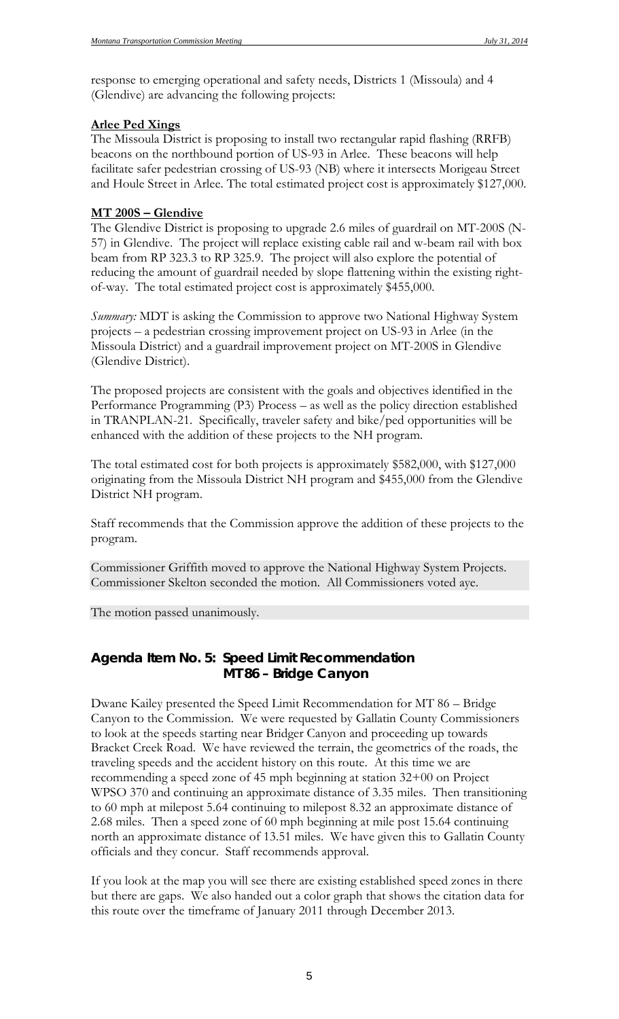response to emerging operational and safety needs, Districts 1 (Missoula) and 4 (Glendive) are advancing the following projects:

### **Arlee Ped Xings**

The Missoula District is proposing to install two rectangular rapid flashing (RRFB) beacons on the northbound portion of US-93 in Arlee. These beacons will help facilitate safer pedestrian crossing of US-93 (NB) where it intersects Morigeau Street and Houle Street in Arlee. The total estimated project cost is approximately \$127,000.

### **MT 200S – Glendive**

The Glendive District is proposing to upgrade 2.6 miles of guardrail on MT-200S (N-57) in Glendive. The project will replace existing cable rail and w-beam rail with box beam from RP 323.3 to RP 325.9. The project will also explore the potential of reducing the amount of guardrail needed by slope flattening within the existing rightof-way. The total estimated project cost is approximately \$455,000.

*Summary:* MDT is asking the Commission to approve two National Highway System projects – a pedestrian crossing improvement project on US-93 in Arlee (in the Missoula District) and a guardrail improvement project on MT-200S in Glendive (Glendive District).

The proposed projects are consistent with the goals and objectives identified in the Performance Programming (P3) Process – as well as the policy direction established in TRANPLAN-21. Specifically, traveler safety and bike/ped opportunities will be enhanced with the addition of these projects to the NH program.

The total estimated cost for both projects is approximately \$582,000, with \$127,000 originating from the Missoula District NH program and \$455,000 from the Glendive District NH program.

Staff recommends that the Commission approve the addition of these projects to the program.

Commissioner Griffith moved to approve the National Highway System Projects. Commissioner Skelton seconded the motion. All Commissioners voted aye.

The motion passed unanimously.

# *Agenda Item No. 5: Speed Limit Recommendation MT 86 – Bridge Canyon*

Dwane Kailey presented the Speed Limit Recommendation for MT 86 – Bridge Canyon to the Commission. We were requested by Gallatin County Commissioners to look at the speeds starting near Bridger Canyon and proceeding up towards Bracket Creek Road. We have reviewed the terrain, the geometrics of the roads, the traveling speeds and the accident history on this route. At this time we are recommending a speed zone of 45 mph beginning at station 32+00 on Project WPSO 370 and continuing an approximate distance of 3.35 miles. Then transitioning to 60 mph at milepost 5.64 continuing to milepost 8.32 an approximate distance of 2.68 miles. Then a speed zone of 60 mph beginning at mile post 15.64 continuing north an approximate distance of 13.51 miles. We have given this to Gallatin County officials and they concur. Staff recommends approval.

If you look at the map you will see there are existing established speed zones in there but there are gaps. We also handed out a color graph that shows the citation data for this route over the timeframe of January 2011 through December 2013.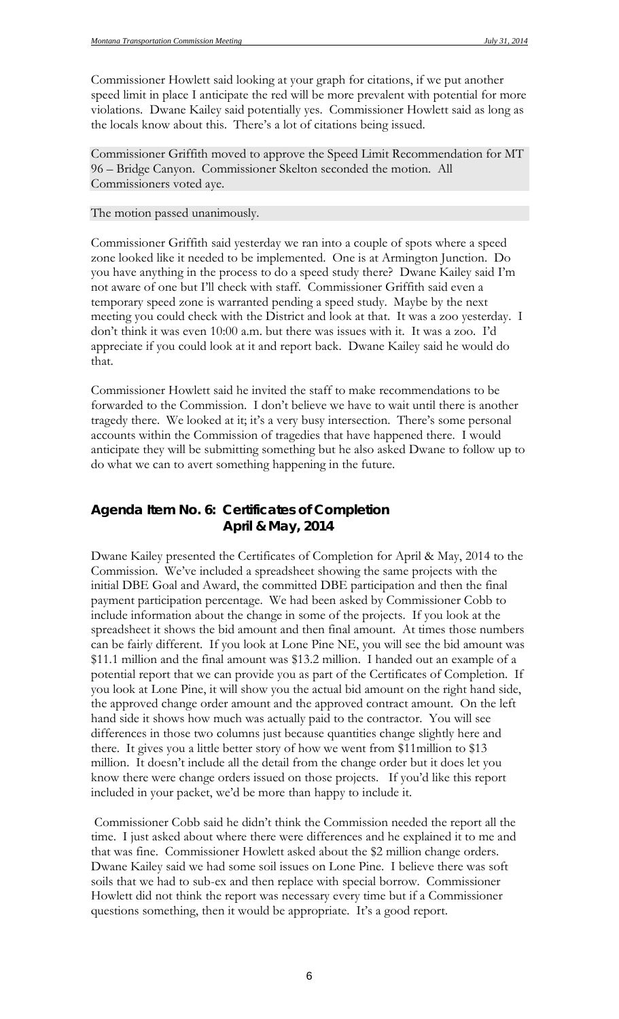Commissioner Howlett said looking at your graph for citations, if we put another speed limit in place I anticipate the red will be more prevalent with potential for more violations. Dwane Kailey said potentially yes. Commissioner Howlett said as long as the locals know about this. There's a lot of citations being issued.

Commissioner Griffith moved to approve the Speed Limit Recommendation for MT 96 – Bridge Canyon. Commissioner Skelton seconded the motion. All Commissioners voted aye.

#### The motion passed unanimously.

Commissioner Griffith said yesterday we ran into a couple of spots where a speed zone looked like it needed to be implemented. One is at Armington Junction. Do you have anything in the process to do a speed study there? Dwane Kailey said I'm not aware of one but I'll check with staff. Commissioner Griffith said even a temporary speed zone is warranted pending a speed study. Maybe by the next meeting you could check with the District and look at that. It was a zoo yesterday. I don't think it was even 10:00 a.m. but there was issues with it. It was a zoo. I'd appreciate if you could look at it and report back. Dwane Kailey said he would do that.

Commissioner Howlett said he invited the staff to make recommendations to be forwarded to the Commission. I don't believe we have to wait until there is another tragedy there. We looked at it; it's a very busy intersection. There's some personal accounts within the Commission of tragedies that have happened there. I would anticipate they will be submitting something but he also asked Dwane to follow up to do what we can to avert something happening in the future.

# *Agenda Item No. 6: Certificates of Completion April & May, 2014*

Dwane Kailey presented the Certificates of Completion for April & May, 2014 to the Commission. We've included a spreadsheet showing the same projects with the initial DBE Goal and Award, the committed DBE participation and then the final payment participation percentage. We had been asked by Commissioner Cobb to include information about the change in some of the projects. If you look at the spreadsheet it shows the bid amount and then final amount. At times those numbers can be fairly different. If you look at Lone Pine NE, you will see the bid amount was \$11.1 million and the final amount was \$13.2 million. I handed out an example of a potential report that we can provide you as part of the Certificates of Completion. If you look at Lone Pine, it will show you the actual bid amount on the right hand side, the approved change order amount and the approved contract amount. On the left hand side it shows how much was actually paid to the contractor. You will see differences in those two columns just because quantities change slightly here and there. It gives you a little better story of how we went from \$11million to \$13 million. It doesn't include all the detail from the change order but it does let you know there were change orders issued on those projects. If you'd like this report included in your packet, we'd be more than happy to include it.

Commissioner Cobb said he didn't think the Commission needed the report all the time. I just asked about where there were differences and he explained it to me and that was fine. Commissioner Howlett asked about the \$2 million change orders. Dwane Kailey said we had some soil issues on Lone Pine. I believe there was soft soils that we had to sub-ex and then replace with special borrow. Commissioner Howlett did not think the report was necessary every time but if a Commissioner questions something, then it would be appropriate. It's a good report.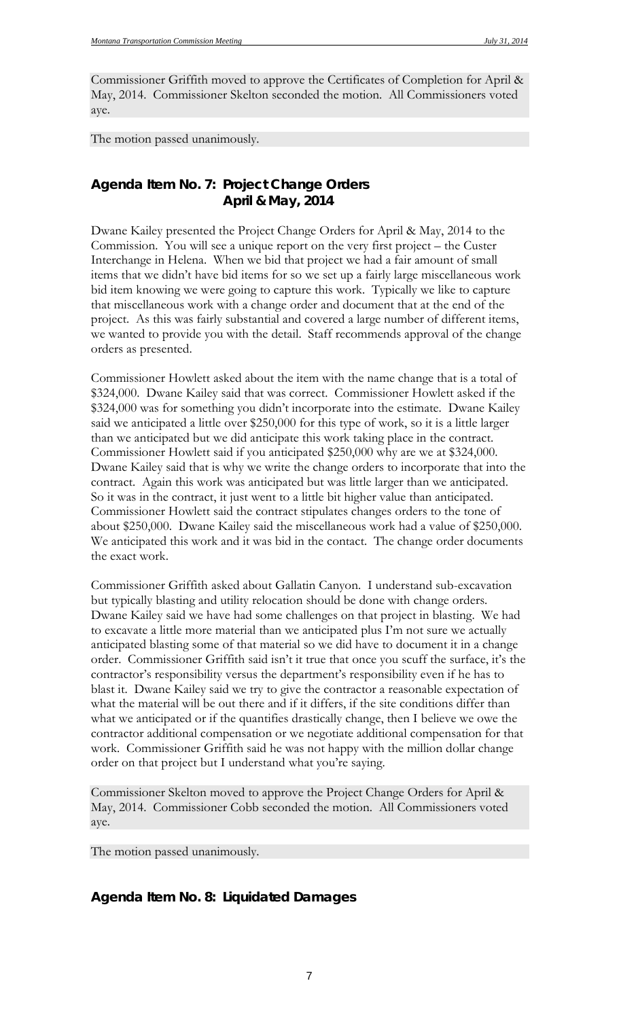Commissioner Griffith moved to approve the Certificates of Completion for April & May, 2014. Commissioner Skelton seconded the motion. All Commissioners voted aye.

The motion passed unanimously.

# *Agenda Item No. 7: Project Change Orders April & May, 2014*

Dwane Kailey presented the Project Change Orders for April & May, 2014 to the Commission. You will see a unique report on the very first project – the Custer Interchange in Helena. When we bid that project we had a fair amount of small items that we didn't have bid items for so we set up a fairly large miscellaneous work bid item knowing we were going to capture this work. Typically we like to capture that miscellaneous work with a change order and document that at the end of the project. As this was fairly substantial and covered a large number of different items, we wanted to provide you with the detail. Staff recommends approval of the change orders as presented.

Commissioner Howlett asked about the item with the name change that is a total of \$324,000. Dwane Kailey said that was correct. Commissioner Howlett asked if the \$324,000 was for something you didn't incorporate into the estimate. Dwane Kailey said we anticipated a little over \$250,000 for this type of work, so it is a little larger than we anticipated but we did anticipate this work taking place in the contract. Commissioner Howlett said if you anticipated \$250,000 why are we at \$324,000. Dwane Kailey said that is why we write the change orders to incorporate that into the contract. Again this work was anticipated but was little larger than we anticipated. So it was in the contract, it just went to a little bit higher value than anticipated. Commissioner Howlett said the contract stipulates changes orders to the tone of about \$250,000. Dwane Kailey said the miscellaneous work had a value of \$250,000. We anticipated this work and it was bid in the contact. The change order documents the exact work.

Commissioner Griffith asked about Gallatin Canyon. I understand sub-excavation but typically blasting and utility relocation should be done with change orders. Dwane Kailey said we have had some challenges on that project in blasting. We had to excavate a little more material than we anticipated plus I'm not sure we actually anticipated blasting some of that material so we did have to document it in a change order. Commissioner Griffith said isn't it true that once you scuff the surface, it's the contractor's responsibility versus the department's responsibility even if he has to blast it. Dwane Kailey said we try to give the contractor a reasonable expectation of what the material will be out there and if it differs, if the site conditions differ than what we anticipated or if the quantifies drastically change, then I believe we owe the contractor additional compensation or we negotiate additional compensation for that work. Commissioner Griffith said he was not happy with the million dollar change order on that project but I understand what you're saying.

Commissioner Skelton moved to approve the Project Change Orders for April & May, 2014. Commissioner Cobb seconded the motion. All Commissioners voted aye.

The motion passed unanimously.

# *Agenda Item No. 8: Liquidated Damages*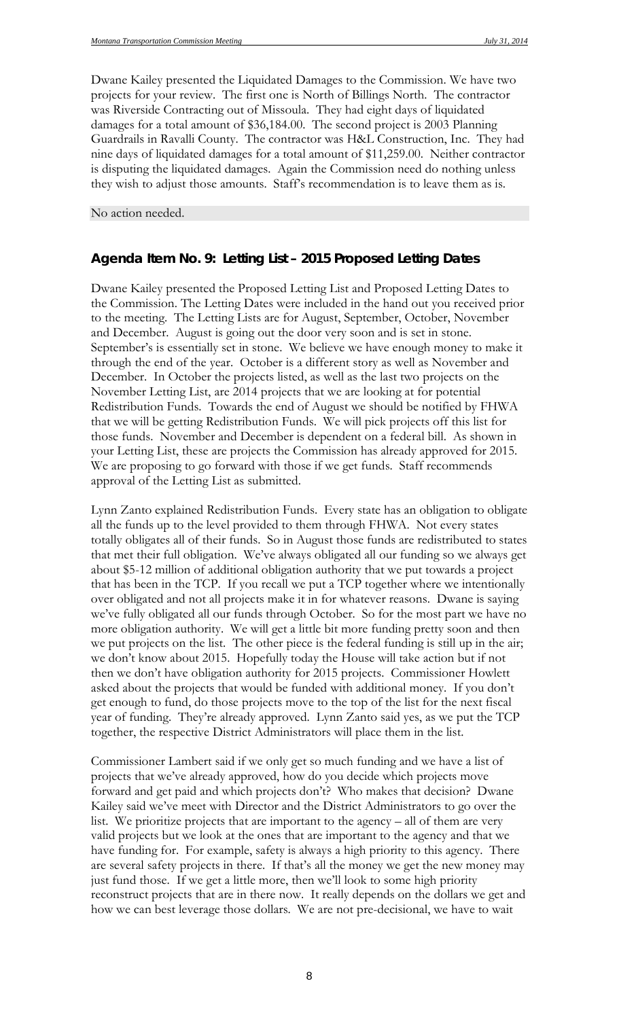Dwane Kailey presented the Liquidated Damages to the Commission. We have two projects for your review. The first one is North of Billings North. The contractor was Riverside Contracting out of Missoula. They had eight days of liquidated damages for a total amount of \$36,184.00. The second project is 2003 Planning Guardrails in Ravalli County. The contractor was H&L Construction, Inc. They had nine days of liquidated damages for a total amount of \$11,259.00. Neither contractor is disputing the liquidated damages. Again the Commission need do nothing unless they wish to adjust those amounts. Staff's recommendation is to leave them as is.

No action needed.

# *Agenda Item No. 9: Letting List – 2015 Proposed Letting Dates*

Dwane Kailey presented the Proposed Letting List and Proposed Letting Dates to the Commission. The Letting Dates were included in the hand out you received prior to the meeting. The Letting Lists are for August, September, October, November and December. August is going out the door very soon and is set in stone. September's is essentially set in stone. We believe we have enough money to make it through the end of the year. October is a different story as well as November and December. In October the projects listed, as well as the last two projects on the November Letting List, are 2014 projects that we are looking at for potential Redistribution Funds. Towards the end of August we should be notified by FHWA that we will be getting Redistribution Funds. We will pick projects off this list for those funds. November and December is dependent on a federal bill. As shown in your Letting List, these are projects the Commission has already approved for 2015. We are proposing to go forward with those if we get funds. Staff recommends approval of the Letting List as submitted.

Lynn Zanto explained Redistribution Funds. Every state has an obligation to obligate all the funds up to the level provided to them through FHWA. Not every states totally obligates all of their funds. So in August those funds are redistributed to states that met their full obligation. We've always obligated all our funding so we always get about \$5-12 million of additional obligation authority that we put towards a project that has been in the TCP. If you recall we put a TCP together where we intentionally over obligated and not all projects make it in for whatever reasons. Dwane is saying we've fully obligated all our funds through October. So for the most part we have no more obligation authority. We will get a little bit more funding pretty soon and then we put projects on the list. The other piece is the federal funding is still up in the air; we don't know about 2015. Hopefully today the House will take action but if not then we don't have obligation authority for 2015 projects. Commissioner Howlett asked about the projects that would be funded with additional money. If you don't get enough to fund, do those projects move to the top of the list for the next fiscal year of funding. They're already approved. Lynn Zanto said yes, as we put the TCP together, the respective District Administrators will place them in the list.

Commissioner Lambert said if we only get so much funding and we have a list of projects that we've already approved, how do you decide which projects move forward and get paid and which projects don't? Who makes that decision? Dwane Kailey said we've meet with Director and the District Administrators to go over the list. We prioritize projects that are important to the agency – all of them are very valid projects but we look at the ones that are important to the agency and that we have funding for. For example, safety is always a high priority to this agency. There are several safety projects in there. If that's all the money we get the new money may just fund those. If we get a little more, then we'll look to some high priority reconstruct projects that are in there now. It really depends on the dollars we get and how we can best leverage those dollars. We are not pre-decisional, we have to wait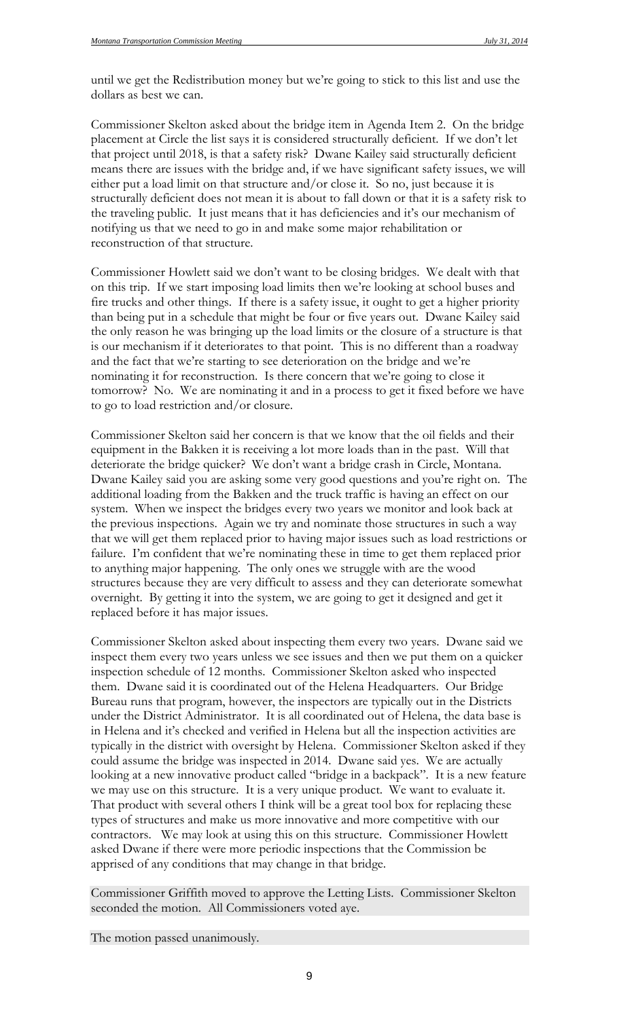until we get the Redistribution money but we're going to stick to this list and use the dollars as best we can.

Commissioner Skelton asked about the bridge item in Agenda Item 2. On the bridge placement at Circle the list says it is considered structurally deficient. If we don't let that project until 2018, is that a safety risk? Dwane Kailey said structurally deficient means there are issues with the bridge and, if we have significant safety issues, we will either put a load limit on that structure and/or close it. So no, just because it is structurally deficient does not mean it is about to fall down or that it is a safety risk to the traveling public. It just means that it has deficiencies and it's our mechanism of notifying us that we need to go in and make some major rehabilitation or reconstruction of that structure.

Commissioner Howlett said we don't want to be closing bridges. We dealt with that on this trip. If we start imposing load limits then we're looking at school buses and fire trucks and other things. If there is a safety issue, it ought to get a higher priority than being put in a schedule that might be four or five years out. Dwane Kailey said the only reason he was bringing up the load limits or the closure of a structure is that is our mechanism if it deteriorates to that point. This is no different than a roadway and the fact that we're starting to see deterioration on the bridge and we're nominating it for reconstruction. Is there concern that we're going to close it tomorrow? No. We are nominating it and in a process to get it fixed before we have to go to load restriction and/or closure.

Commissioner Skelton said her concern is that we know that the oil fields and their equipment in the Bakken it is receiving a lot more loads than in the past. Will that deteriorate the bridge quicker? We don't want a bridge crash in Circle, Montana. Dwane Kailey said you are asking some very good questions and you're right on. The additional loading from the Bakken and the truck traffic is having an effect on our system. When we inspect the bridges every two years we monitor and look back at the previous inspections. Again we try and nominate those structures in such a way that we will get them replaced prior to having major issues such as load restrictions or failure. I'm confident that we're nominating these in time to get them replaced prior to anything major happening. The only ones we struggle with are the wood structures because they are very difficult to assess and they can deteriorate somewhat overnight. By getting it into the system, we are going to get it designed and get it replaced before it has major issues.

Commissioner Skelton asked about inspecting them every two years. Dwane said we inspect them every two years unless we see issues and then we put them on a quicker inspection schedule of 12 months. Commissioner Skelton asked who inspected them. Dwane said it is coordinated out of the Helena Headquarters. Our Bridge Bureau runs that program, however, the inspectors are typically out in the Districts under the District Administrator. It is all coordinated out of Helena, the data base is in Helena and it's checked and verified in Helena but all the inspection activities are typically in the district with oversight by Helena. Commissioner Skelton asked if they could assume the bridge was inspected in 2014. Dwane said yes. We are actually looking at a new innovative product called "bridge in a backpack". It is a new feature we may use on this structure. It is a very unique product. We want to evaluate it. That product with several others I think will be a great tool box for replacing these types of structures and make us more innovative and more competitive with our contractors. We may look at using this on this structure. Commissioner Howlett asked Dwane if there were more periodic inspections that the Commission be apprised of any conditions that may change in that bridge.

Commissioner Griffith moved to approve the Letting Lists. Commissioner Skelton seconded the motion. All Commissioners voted aye.

The motion passed unanimously.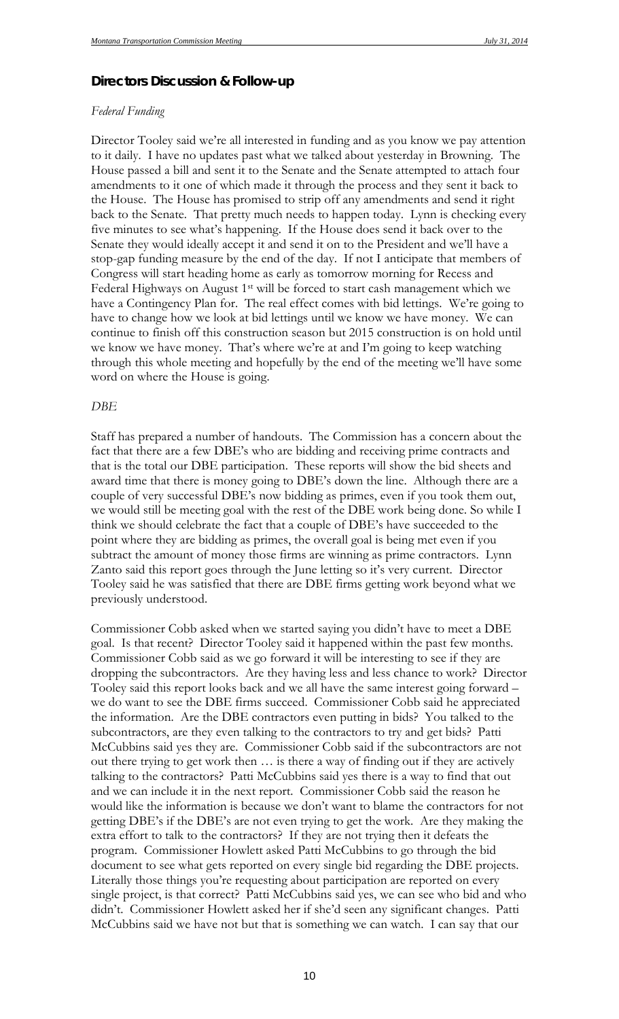### *Directors Discussion & Follow-up*

#### *Federal Funding*

Director Tooley said we're all interested in funding and as you know we pay attention to it daily. I have no updates past what we talked about yesterday in Browning. The House passed a bill and sent it to the Senate and the Senate attempted to attach four amendments to it one of which made it through the process and they sent it back to the House. The House has promised to strip off any amendments and send it right back to the Senate. That pretty much needs to happen today. Lynn is checking every five minutes to see what's happening. If the House does send it back over to the Senate they would ideally accept it and send it on to the President and we'll have a stop-gap funding measure by the end of the day. If not I anticipate that members of Congress will start heading home as early as tomorrow morning for Recess and Federal Highways on August 1st will be forced to start cash management which we have a Contingency Plan for. The real effect comes with bid lettings. We're going to have to change how we look at bid lettings until we know we have money. We can continue to finish off this construction season but 2015 construction is on hold until we know we have money. That's where we're at and I'm going to keep watching through this whole meeting and hopefully by the end of the meeting we'll have some word on where the House is going.

#### *DBE*

Staff has prepared a number of handouts. The Commission has a concern about the fact that there are a few DBE's who are bidding and receiving prime contracts and that is the total our DBE participation. These reports will show the bid sheets and award time that there is money going to DBE's down the line. Although there are a couple of very successful DBE's now bidding as primes, even if you took them out, we would still be meeting goal with the rest of the DBE work being done. So while I think we should celebrate the fact that a couple of DBE's have succeeded to the point where they are bidding as primes, the overall goal is being met even if you subtract the amount of money those firms are winning as prime contractors. Lynn Zanto said this report goes through the June letting so it's very current. Director Tooley said he was satisfied that there are DBE firms getting work beyond what we previously understood.

Commissioner Cobb asked when we started saying you didn't have to meet a DBE goal. Is that recent? Director Tooley said it happened within the past few months. Commissioner Cobb said as we go forward it will be interesting to see if they are dropping the subcontractors. Are they having less and less chance to work? Director Tooley said this report looks back and we all have the same interest going forward – we do want to see the DBE firms succeed. Commissioner Cobb said he appreciated the information. Are the DBE contractors even putting in bids? You talked to the subcontractors, are they even talking to the contractors to try and get bids? Patti McCubbins said yes they are. Commissioner Cobb said if the subcontractors are not out there trying to get work then … is there a way of finding out if they are actively talking to the contractors? Patti McCubbins said yes there is a way to find that out and we can include it in the next report. Commissioner Cobb said the reason he would like the information is because we don't want to blame the contractors for not getting DBE's if the DBE's are not even trying to get the work. Are they making the extra effort to talk to the contractors? If they are not trying then it defeats the program. Commissioner Howlett asked Patti McCubbins to go through the bid document to see what gets reported on every single bid regarding the DBE projects. Literally those things you're requesting about participation are reported on every single project, is that correct? Patti McCubbins said yes, we can see who bid and who didn't. Commissioner Howlett asked her if she'd seen any significant changes. Patti McCubbins said we have not but that is something we can watch. I can say that our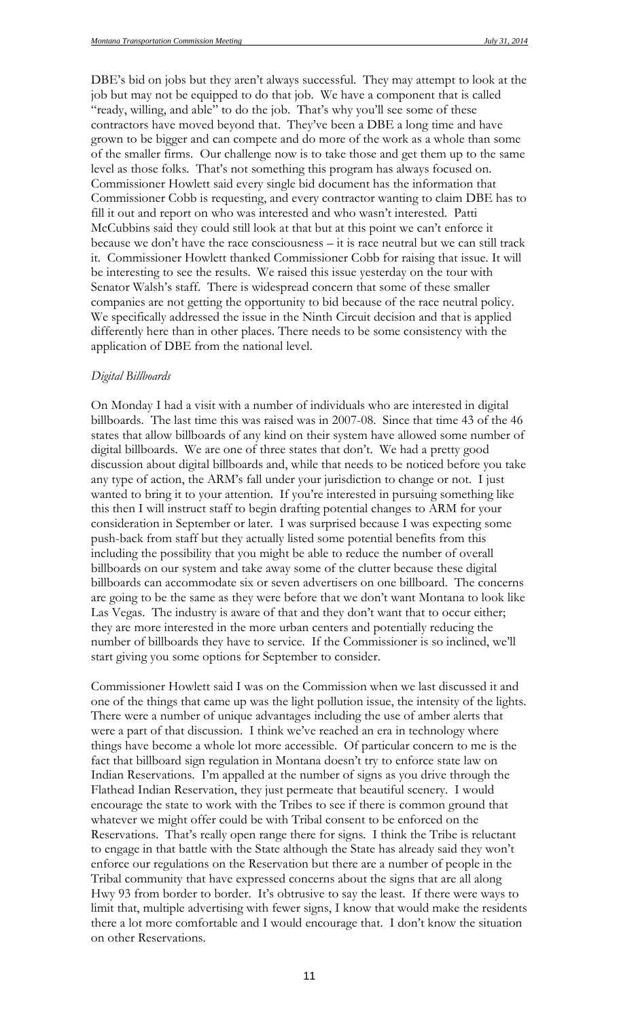DBE's bid on jobs but they aren't always successful. They may attempt to look at the job but may not be equipped to do that job. We have a component that is called "ready, willing, and able" to do the job. That's why you'll see some of these contractors have moved beyond that. They've been a DBE a long time and have grown to be bigger and can compete and do more of the work as a whole than some of the smaller firms. Our challenge now is to take those and get them up to the same level as those folks. That's not something this program has always focused on. Commissioner Howlett said every single bid document has the information that Commissioner Cobb is requesting, and every contractor wanting to claim DBE has to fill it out and report on who was interested and who wasn't interested. Patti McCubbins said they could still look at that but at this point we can't enforce it because we don't have the race consciousness – it is race neutral but we can still track it. Commissioner Howlett thanked Commissioner Cobb for raising that issue. It will be interesting to see the results. We raised this issue yesterday on the tour with Senator Walsh's staff. There is widespread concern that some of these smaller companies are not getting the opportunity to bid because of the race neutral policy. We specifically addressed the issue in the Ninth Circuit decision and that is applied differently here than in other places. There needs to be some consistency with the application of DBE from the national level.

#### *Digital Billboards*

On Monday I had a visit with a number of individuals who are interested in digital billboards. The last time this was raised was in 2007-08. Since that time 43 of the 46 states that allow billboards of any kind on their system have allowed some number of digital billboards. We are one of three states that don't. We had a pretty good discussion about digital billboards and, while that needs to be noticed before you take any type of action, the ARM's fall under your jurisdiction to change or not. I just wanted to bring it to your attention. If you're interested in pursuing something like this then I will instruct staff to begin drafting potential changes to ARM for your consideration in September or later. I was surprised because I was expecting some push-back from staff but they actually listed some potential benefits from this including the possibility that you might be able to reduce the number of overall billboards on our system and take away some of the clutter because these digital billboards can accommodate six or seven advertisers on one billboard. The concerns are going to be the same as they were before that we don't want Montana to look like Las Vegas. The industry is aware of that and they don't want that to occur either; they are more interested in the more urban centers and potentially reducing the number of billboards they have to service. If the Commissioner is so inclined, we'll start giving you some options for September to consider.

Commissioner Howlett said I was on the Commission when we last discussed it and one of the things that came up was the light pollution issue, the intensity of the lights. There were a number of unique advantages including the use of amber alerts that were a part of that discussion. I think we've reached an era in technology where things have become a whole lot more accessible. Of particular concern to me is the fact that billboard sign regulation in Montana doesn't try to enforce state law on Indian Reservations. I'm appalled at the number of signs as you drive through the Flathead Indian Reservation, they just permeate that beautiful scenery. I would encourage the state to work with the Tribes to see if there is common ground that whatever we might offer could be with Tribal consent to be enforced on the Reservations. That's really open range there for signs. I think the Tribe is reluctant to engage in that battle with the State although the State has already said they won't enforce our regulations on the Reservation but there are a number of people in the Tribal community that have expressed concerns about the signs that are all along Hwy 93 from border to border. It's obtrusive to say the least. If there were ways to limit that, multiple advertising with fewer signs, I know that would make the residents there a lot more comfortable and I would encourage that. I don't know the situation on other Reservations.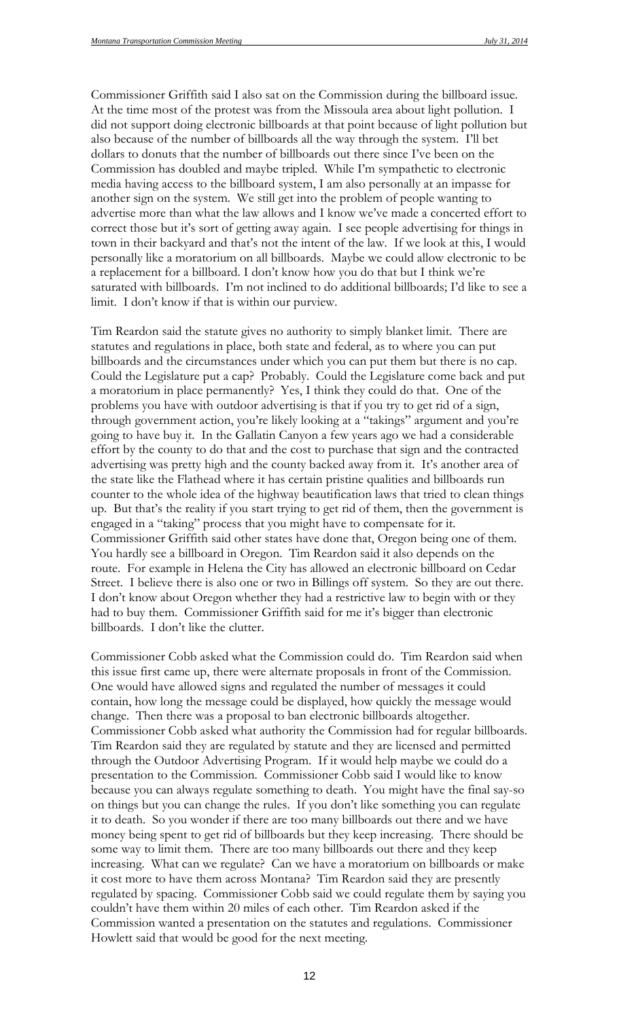Commissioner Griffith said I also sat on the Commission during the billboard issue. At the time most of the protest was from the Missoula area about light pollution. I did not support doing electronic billboards at that point because of light pollution but also because of the number of billboards all the way through the system. I'll bet dollars to donuts that the number of billboards out there since I've been on the Commission has doubled and maybe tripled. While I'm sympathetic to electronic media having access to the billboard system, I am also personally at an impasse for another sign on the system. We still get into the problem of people wanting to advertise more than what the law allows and I know we've made a concerted effort to correct those but it's sort of getting away again. I see people advertising for things in town in their backyard and that's not the intent of the law. If we look at this, I would personally like a moratorium on all billboards. Maybe we could allow electronic to be a replacement for a billboard. I don't know how you do that but I think we're saturated with billboards. I'm not inclined to do additional billboards; I'd like to see a limit. I don't know if that is within our purview.

Tim Reardon said the statute gives no authority to simply blanket limit. There are statutes and regulations in place, both state and federal, as to where you can put billboards and the circumstances under which you can put them but there is no cap. Could the Legislature put a cap? Probably. Could the Legislature come back and put a moratorium in place permanently? Yes, I think they could do that. One of the problems you have with outdoor advertising is that if you try to get rid of a sign, through government action, you're likely looking at a "takings" argument and you're going to have buy it. In the Gallatin Canyon a few years ago we had a considerable effort by the county to do that and the cost to purchase that sign and the contracted advertising was pretty high and the county backed away from it. It's another area of the state like the Flathead where it has certain pristine qualities and billboards run counter to the whole idea of the highway beautification laws that tried to clean things up. But that's the reality if you start trying to get rid of them, then the government is engaged in a "taking" process that you might have to compensate for it. Commissioner Griffith said other states have done that, Oregon being one of them. You hardly see a billboard in Oregon. Tim Reardon said it also depends on the route. For example in Helena the City has allowed an electronic billboard on Cedar Street. I believe there is also one or two in Billings off system. So they are out there. I don't know about Oregon whether they had a restrictive law to begin with or they had to buy them. Commissioner Griffith said for me it's bigger than electronic billboards. I don't like the clutter.

Commissioner Cobb asked what the Commission could do. Tim Reardon said when this issue first came up, there were alternate proposals in front of the Commission. One would have allowed signs and regulated the number of messages it could contain, how long the message could be displayed, how quickly the message would change. Then there was a proposal to ban electronic billboards altogether. Commissioner Cobb asked what authority the Commission had for regular billboards. Tim Reardon said they are regulated by statute and they are licensed and permitted through the Outdoor Advertising Program. If it would help maybe we could do a presentation to the Commission. Commissioner Cobb said I would like to know because you can always regulate something to death. You might have the final say-so on things but you can change the rules. If you don't like something you can regulate it to death. So you wonder if there are too many billboards out there and we have money being spent to get rid of billboards but they keep increasing. There should be some way to limit them. There are too many billboards out there and they keep increasing. What can we regulate? Can we have a moratorium on billboards or make it cost more to have them across Montana? Tim Reardon said they are presently regulated by spacing. Commissioner Cobb said we could regulate them by saying you couldn't have them within 20 miles of each other. Tim Reardon asked if the Commission wanted a presentation on the statutes and regulations. Commissioner Howlett said that would be good for the next meeting.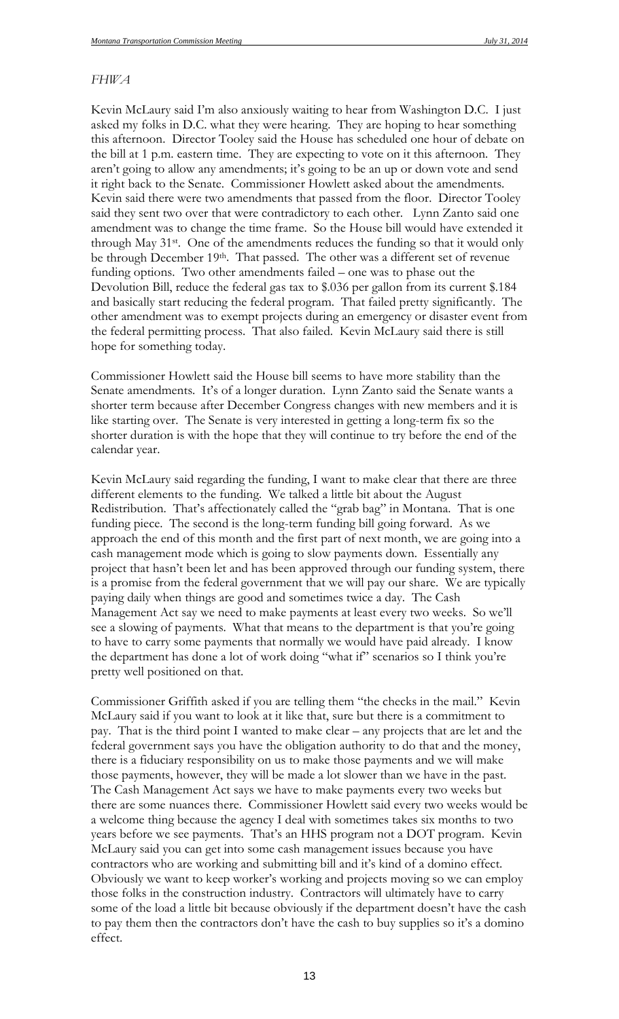#### *FHWA*

Kevin McLaury said I'm also anxiously waiting to hear from Washington D.C. I just asked my folks in D.C. what they were hearing. They are hoping to hear something this afternoon. Director Tooley said the House has scheduled one hour of debate on the bill at 1 p.m. eastern time. They are expecting to vote on it this afternoon. They aren't going to allow any amendments; it's going to be an up or down vote and send it right back to the Senate. Commissioner Howlett asked about the amendments. Kevin said there were two amendments that passed from the floor. Director Tooley said they sent two over that were contradictory to each other. Lynn Zanto said one amendment was to change the time frame. So the House bill would have extended it through May 31st. One of the amendments reduces the funding so that it would only be through December 19<sup>th</sup>. That passed. The other was a different set of revenue funding options. Two other amendments failed – one was to phase out the Devolution Bill, reduce the federal gas tax to \$.036 per gallon from its current \$.184 and basically start reducing the federal program. That failed pretty significantly. The other amendment was to exempt projects during an emergency or disaster event from the federal permitting process. That also failed. Kevin McLaury said there is still hope for something today.

Commissioner Howlett said the House bill seems to have more stability than the Senate amendments. It's of a longer duration. Lynn Zanto said the Senate wants a shorter term because after December Congress changes with new members and it is like starting over. The Senate is very interested in getting a long-term fix so the shorter duration is with the hope that they will continue to try before the end of the calendar year.

Kevin McLaury said regarding the funding, I want to make clear that there are three different elements to the funding. We talked a little bit about the August Redistribution. That's affectionately called the "grab bag" in Montana. That is one funding piece. The second is the long-term funding bill going forward. As we approach the end of this month and the first part of next month, we are going into a cash management mode which is going to slow payments down. Essentially any project that hasn't been let and has been approved through our funding system, there is a promise from the federal government that we will pay our share. We are typically paying daily when things are good and sometimes twice a day. The Cash Management Act say we need to make payments at least every two weeks. So we'll see a slowing of payments. What that means to the department is that you're going to have to carry some payments that normally we would have paid already. I know the department has done a lot of work doing "what if" scenarios so I think you're pretty well positioned on that.

Commissioner Griffith asked if you are telling them "the checks in the mail." Kevin McLaury said if you want to look at it like that, sure but there is a commitment to pay. That is the third point I wanted to make clear – any projects that are let and the federal government says you have the obligation authority to do that and the money, there is a fiduciary responsibility on us to make those payments and we will make those payments, however, they will be made a lot slower than we have in the past. The Cash Management Act says we have to make payments every two weeks but there are some nuances there. Commissioner Howlett said every two weeks would be a welcome thing because the agency I deal with sometimes takes six months to two years before we see payments. That's an HHS program not a DOT program. Kevin McLaury said you can get into some cash management issues because you have contractors who are working and submitting bill and it's kind of a domino effect. Obviously we want to keep worker's working and projects moving so we can employ those folks in the construction industry. Contractors will ultimately have to carry some of the load a little bit because obviously if the department doesn't have the cash to pay them then the contractors don't have the cash to buy supplies so it's a domino effect.